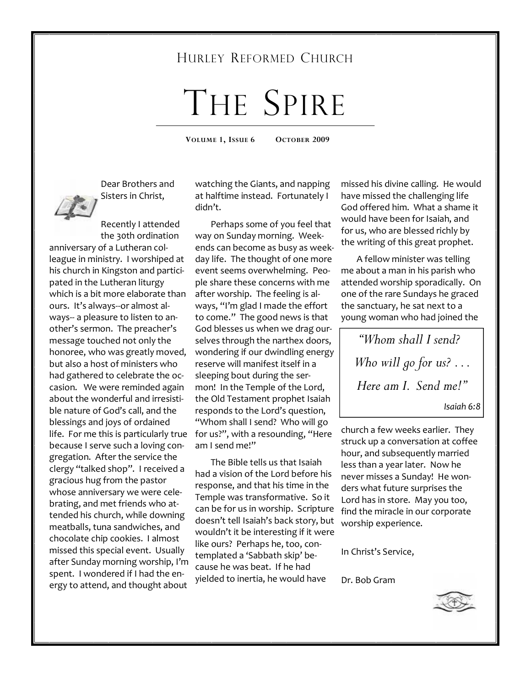## HURLEY REFORMED CHURCH

# THE SPIRE

**VOLUME 1, ISSUE 6 OCTOBER 2009** 

Dear Brothers and Sisters in Christ,

Recently I attended the 30th ordination anniversary of a Lutheran colleague in ministry. I worshiped at his church in Kingston and participated in the Lutheran liturgy which is a bit more elaborate than ours. It's always--or almost always-- a pleasure to listen to another's sermon. The preacher's message touched not only the honoree, who was greatly moved, but also a host of ministers who had gathered to celebrate the occasion. We were reminded again about the wonderful and irresistible nature of God's call, and the blessings and joys of ordained life. For me this is particularly true for us?", with a resounding, "Here because I serve such a loving congregation. After the service the clergy "talked shop". I received a gracious hug from the pastor whose anniversary we were celebrating, and met friends who attended his church, while downing meatballs, tuna sandwiches, and chocolate chip cookies. I almost missed this special event. Usually after Sunday morning worship, I'm spent. I wondered if I had the energy to attend, and thought about

watching the Giants, and napping at halftime instead. Fortunately I didn't.

 Perhaps some of you feel that way on Sunday morning. Weekends can become as busy as weekday life. The thought of one more event seems overwhelming. People share these concerns with me after worship. The feeling is always, "I'm glad I made the effort to come." The good news is that God blesses us when we drag ourselves through the narthex doors, wondering if our dwindling energy reserve will manifest itself in a sleeping bout during the sermon! In the Temple of the Lord, the Old Testament prophet Isaiah responds to the Lord's question, "Whom shall I send? Who will go am I send me!"

 The Bible tells us that Isaiah had a vision of the Lord before his response, and that his time in the Temple was transformative. So it can be for us in worship. Scripture doesn't tell Isaiah's back story, but wouldn't it be interesting if it were like ours? Perhaps he, too, contemplated a 'Sabbath skip' because he was beat. If he had yielded to inertia, he would have

missed his divine calling. He would have missed the challenging life God offered him. What a shame it would have been for Isaiah, and for us, who are blessed richly by the writing of this great prophet.

 A fellow minister was telling me about a man in his parish who attended worship sporadically. On one of the rare Sundays he graced the sanctuary, he sat next to a young woman who had joined the

*"Whom shall I send? Who will go for us? . . . Here am I. Send me!"* 

*Isaiah 6:8* 

church a few weeks earlier. They struck up a conversation at coffee hour, and subsequently married less than a year later. Now he never misses a Sunday! He wonders what future surprises the Lord has in store. May you too, find the miracle in our corporate worship experience.

In Christ's Service,

Dr. Bob Gram

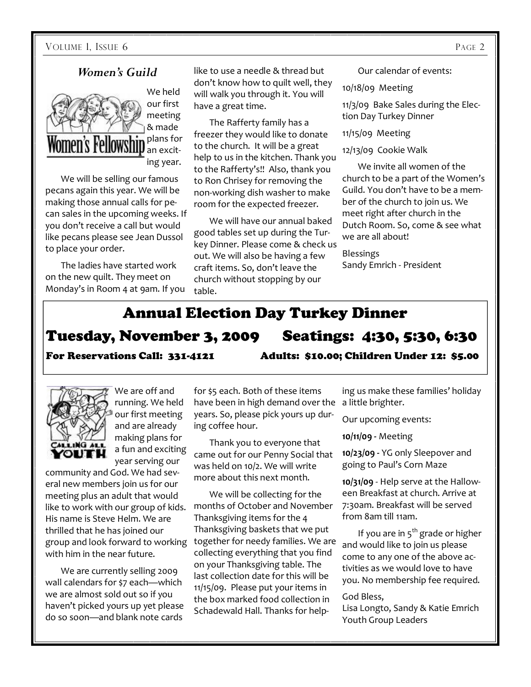#### *Women's Guild*



 We will be selling our famous pecans again this year. We will be making those annual calls for pecan sales in the upcoming weeks. If you don't receive a call but would like pecans please see Jean Dussol to place your order.

 The ladies have started work on the new quilt. They meet on Monday's in Room 4 at 9am. If you like to use a needle & thread but don't know how to quilt well, they will walk you through it. You will have a great time.

 The Rafferty family has a freezer they would like to donate to the church. It will be a great help to us in the kitchen. Thank you to the Rafferty's!! Also, thank you to Ron Chrisey for removing the non-working dish washer to make room for the expected freezer.

 We will have our annual baked good tables set up during the Turkey Dinner. Please come & check us out. We will also be having a few craft items. So, don't leave the church without stopping by our table.

Our calendar of events:

10/18/09 Meeting

11/3/09 Bake Sales during the Election Day Turkey Dinner

11/15/09 Meeting

12/13/09 Cookie Walk

 We invite all women of the church to be a part of the Women's Guild. You don't have to be a member of the church to join us. We meet right after church in the Dutch Room. So, come & see what we are all about!

Blessings Sandy Emrich - President

## Annual Election Day Turkey Dinner

# Tuesday, November 3, 2009 Seatings: 4:30, 5:30, 6:30

For Reservations Call: 331-4121 Adults: \$10.00; Children Under 12: \$5.00



We are off and running. We held our first meeting and are already making plans for a fun and exciting year serving our

community and God. We had several new members join us for our meeting plus an adult that would like to work with our group of kids. His name is Steve Helm. We are thrilled that he has joined our group and look forward to working with him in the near future.

 We are currently selling 2009 wall calendars for \$7 each—which we are almost sold out so if you haven't picked yours up yet please do so soon—and blank note cards

for \$5 each. Both of these items have been in high demand over the years. So, please pick yours up during coffee hour.

 Thank you to everyone that came out for our Penny Social that was held on 10/2. We will write more about this next month.

 We will be collecting for the months of October and November Thanksgiving items for the 4 Thanksgiving baskets that we put together for needy families. We are collecting everything that you find on your Thanksgiving table. The last collection date for this will be 11/15/09. Please put your items in the box marked food collection in Schadewald Hall. Thanks for help-

ing us make these families' holiday a little brighter.

Our upcoming events:

**10/11/09 -** Meeting

**10/23/09 -** YG only Sleepover and going to Paul's Corn Maze

**10/31/09** - Help serve at the Halloween Breakfast at church. Arrive at 7:30am. Breakfast will be served from 8am till 11am.

If you are in  $5<sup>th</sup>$  grade or higher and would like to join us please come to any one of the above activities as we would love to have you. No membership fee required.

#### God Bless,

Lisa Longto, Sandy & Katie Emrich Youth Group Leaders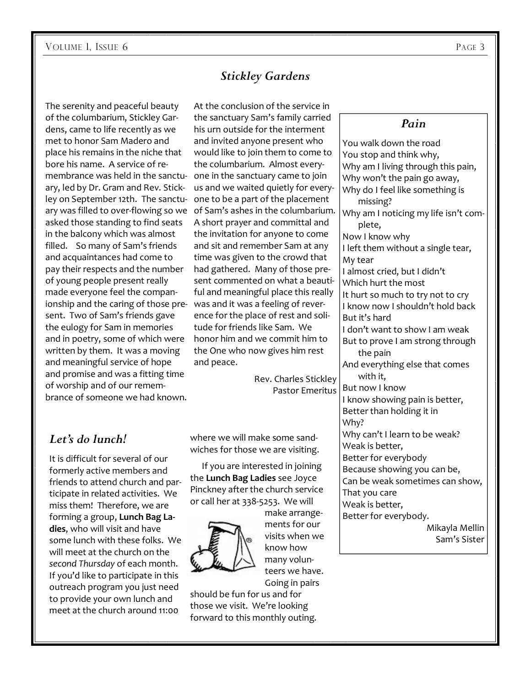The serenity and peaceful beauty of the columbarium, Stickley Gardens, came to life recently as we met to honor Sam Madero and place his remains in the niche that bore his name. A service of remembrance was held in the sanctuary, led by Dr. Gram and Rev. Stickley on September 12th. The sanctuary was filled to over-flowing so we of Sam's ashes in the columbarium. asked those standing to find seats in the balcony which was almost filled. So many of Sam's friends and acquaintances had come to pay their respects and the number of young people present really made everyone feel the companionship and the caring of those pre-was and it was a feeling of reversent. Two of Sam's friends gave the eulogy for Sam in memories and in poetry, some of which were written by them. It was a moving and meaningful service of hope and promise and was a fitting time of worship and of our remembrance of someone we had known.

### *Stickley Gardens*

At the conclusion of the service in the sanctuary Sam's family carried his urn outside for the interment and invited anyone present who would like to join them to come to the columbarium. Almost everyone in the sanctuary came to join us and we waited quietly for everyone to be a part of the placement A short prayer and committal and the invitation for anyone to come and sit and remember Sam at any time was given to the crowd that had gathered. Many of those present commented on what a beautiful and meaningful place this really ence for the place of rest and solitude for friends like Sam. We honor him and we commit him to the One who now gives him rest and peace.

> Rev. Charles Stickley Pastor Emeritus

#### *Let's do lunch!*

It is difficult for several of our formerly active members and friends to attend church and participate in related activities. We miss them! Therefore, we are forming a group, **Lunch Bag Ladies**, who will visit and have some lunch with these folks. We will meet at the church on the *second Thursday* of each month. If you'd like to participate in this outreach program you just need to provide your own lunch and meet at the church around 11:00

where we will make some sandwiches for those we are visiting.

 If you are interested in joining the **Lunch Bag Ladies** see Joyce Pinckney after the church service or call her at 338-5253. We will



make arrangements for our visits when we know how many volunteers we have. Going in pairs

should be fun for us and for those we visit. We're looking forward to this monthly outing.

#### *Pain*

You walk down the road You stop and think why, Why am I living through this pain, Why won't the pain go away, Why do I feel like something is missing? Why am I noticing my life isn't complete, Now I know why I left them without a single tear, My tear I almost cried, but I didn't Which hurt the most It hurt so much to try not to cry I know now I shouldn't hold back But it's hard I don't want to show I am weak But to prove I am strong through the pain And everything else that comes with it, But now I know I know showing pain is better, Better than holding it in Why? Why can't I learn to be weak? Weak is better, Better for everybody Because showing you can be, Can be weak sometimes can show, That you care Weak is better, Better for everybody. Mikayla Mellin

Sam's Sister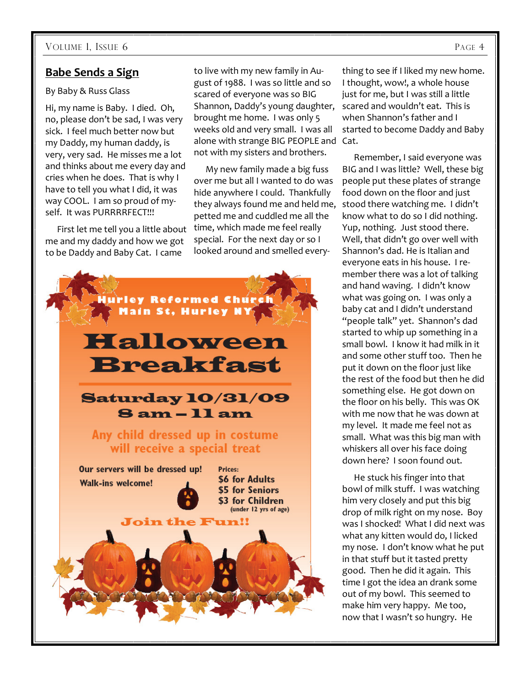#### **Babe Sends a Sign**

#### By Baby & Russ Glass

Hi, my name is Baby. I died. Oh, no, please don't be sad, I was very sick. I feel much better now but my Daddy, my human daddy, is very, very sad. He misses me a lot and thinks about me every day and cries when he does. That is why I have to tell you what I did, it was way COOL. I am so proud of myself. It was PURRRRFECT!!!

 First let me tell you a little about me and my daddy and how we got to be Daddy and Baby Cat. I came

to live with my new family in August of 1988. I was so little and so scared of everyone was so BIG Shannon, Daddy's young daughter, brought me home. I was only 5 weeks old and very small. I was all alone with strange BIG PEOPLE and Cat. not with my sisters and brothers.

 My new family made a big fuss over me but all I wanted to do was hide anywhere I could. Thankfully they always found me and held me, petted me and cuddled me all the time, which made me feel really special. For the next day or so I looked around and smelled every-



thing to see if I liked my new home. I thought, wow!, a whole house just for me, but I was still a little scared and wouldn't eat. This is when Shannon's father and I started to become Daddy and Baby

 Remember, I said everyone was BIG and I was little? Well, these big people put these plates of strange food down on the floor and just stood there watching me. I didn't know what to do so I did nothing. Yup, nothing. Just stood there. Well, that didn't go over well with Shannon's dad. He is Italian and everyone eats in his house. I remember there was a lot of talking and hand waving. I didn't know what was going on. I was only a baby cat and I didn't understand "people talk" yet. Shannon's dad started to whip up something in a small bowl. I know it had milk in it and some other stuff too. Then he put it down on the floor just like the rest of the food but then he did something else. He got down on the floor on his belly. This was OK with me now that he was down at my level. It made me feel not as small. What was this big man with whiskers all over his face doing down here? I soon found out.

 He stuck his finger into that bowl of milk stuff. I was watching him very closely and put this big drop of milk right on my nose. Boy was I shocked! What I did next was what any kitten would do, I licked my nose. I don't know what he put in that stuff but it tasted pretty good. Then he did it again. This time I got the idea an drank some out of my bowl. This seemed to make him very happy. Me too, now that I wasn't so hungry. He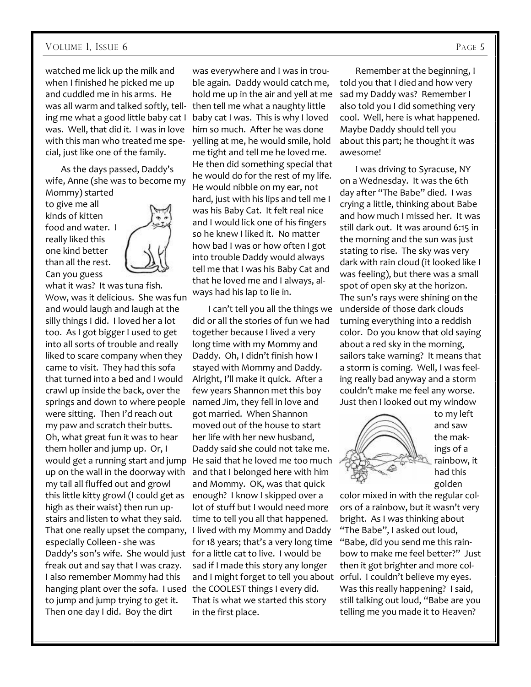#### VOLUME 1, ISSUE 6 PAGE 5

watched me lick up the milk and when I finished he picked me up and cuddled me in his arms. He was all warm and talked softly, telling me what a good little baby cat I was. Well, that did it. I was in love with this man who treated me special, just like one of the family.

 As the days passed, Daddy's wife, Anne (she was to become my Mommy) started

to give me all kinds of kitten food and water. I really liked this one kind better than all the rest. Can you guess



what it was? It was tuna fish. Wow, was it delicious. She was fun and would laugh and laugh at the silly things I did. I loved her a lot too. As I got bigger I used to get into all sorts of trouble and really liked to scare company when they came to visit. They had this sofa that turned into a bed and I would crawl up inside the back, over the springs and down to where people were sitting. Then I'd reach out my paw and scratch their butts. Oh, what great fun it was to hear them holler and jump up. Or, I up on the wall in the doorway with my tail all fluffed out and growl this little kitty growl (I could get as high as their waist) then run upstairs and listen to what they said. That one really upset the company, especially Colleen - she was Daddy's son's wife. She would just for a little cat to live. I would be freak out and say that I was crazy. I also remember Mommy had this hanging plant over the sofa. I used the COOLEST things I every did. to jump and jump trying to get it. Then one day I did. Boy the dirt

was everywhere and I was in trouble again. Daddy would catch me, hold me up in the air and yell at me then tell me what a naughty little baby cat I was. This is why I loved him so much. After he was done yelling at me, he would smile, hold me tight and tell me he loved me. He then did something special that he would do for the rest of my life. He would nibble on my ear, not hard, just with his lips and tell me I was his Baby Cat. It felt real nice and I would lick one of his fingers so he knew I liked it. No matter how bad I was or how often I got into trouble Daddy would always tell me that I was his Baby Cat and that he loved me and I always, always had his lap to lie in.

would get a running start and jump He said that he loved me too much I can't tell you all the things we did or all the stories of fun we had together because I lived a very long time with my Mommy and Daddy. Oh, I didn't finish how I stayed with Mommy and Daddy. Alright, I'll make it quick. After a few years Shannon met this boy named Jim, they fell in love and got married. When Shannon moved out of the house to start her life with her new husband, Daddy said she could not take me. and that I belonged here with him and Mommy. OK, was that quick enough? I know I skipped over a lot of stuff but I would need more time to tell you all that happened. I lived with my Mommy and Daddy for 18 years; that's a very long time sad if I made this story any longer and I might forget to tell you about That is what we started this story in the first place.

 Remember at the beginning, I told you that I died and how very sad my Daddy was? Remember I also told you I did something very cool. Well, here is what happened. Maybe Daddy should tell you about this part; he thought it was awesome!

 I was driving to Syracuse, NY on a Wednesday. It was the 6th day after "The Babe" died. I was crying a little, thinking about Babe and how much I missed her. It was still dark out. It was around 6:15 in the morning and the sun was just stating to rise. The sky was very dark with rain cloud (it looked like I was feeling), but there was a small spot of open sky at the horizon. The sun's rays were shining on the underside of those dark clouds turning everything into a reddish color. Do you know that old saying about a red sky in the morning, sailors take warning? It means that a storm is coming. Well, I was feeling really bad anyway and a storm couldn't make me feel any worse. Just then I looked out my window



to my left and saw the makings of a rainbow, it had this golden

color mixed in with the regular colors of a rainbow, but it wasn't very bright. As I was thinking about "The Babe", I asked out loud, "Babe, did you send me this rainbow to make me feel better?" Just then it got brighter and more colorful. I couldn't believe my eyes. Was this really happening? I said, still talking out loud, "Babe are you telling me you made it to Heaven?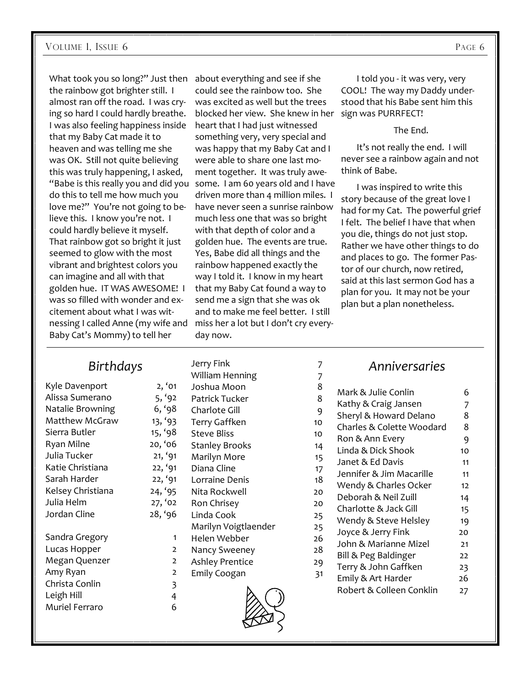What took you so long?" Just then about everything and see if she the rainbow got brighter still. I almost ran off the road. I was crying so hard I could hardly breathe. I was also feeling happiness inside that my Baby Cat made it to heaven and was telling me she was OK. Still not quite believing this was truly happening, I asked, "Babe is this really you and did you some. I am 60 years old and I have do this to tell me how much you love me?" You're not going to believe this. I know you're not. I could hardly believe it myself. That rainbow got so bright it just seemed to glow with the most vibrant and brightest colors you can imagine and all with that golden hue. IT WAS AWESOME! I was so filled with wonder and excitement about what I was witnessing I called Anne (my wife and miss her a lot but I don't cry every-Baby Cat's Mommy) to tell her

could see the rainbow too. She was excited as well but the trees blocked her view. She knew in her sign was PURRFECT! heart that I had just witnessed something very, very special and was happy that my Baby Cat and I were able to share one last moment together. It was truly awedriven more than 4 million miles. I have never seen a sunrise rainbow much less one that was so bright with that depth of color and a golden hue. The events are true. Yes, Babe did all things and the rainbow happened exactly the way I told it. I know in my heart that my Baby Cat found a way to send me a sign that she was ok and to make me feel better. I still day now.

 I told you - it was very, very COOL! The way my Daddy understood that his Babe sent him this

The End.

 It's not really the end. I will never see a rainbow again and not think of Babe.

 I was inspired to write this story because of the great love I had for my Cat. The powerful grief I felt. The belief I have that when you die, things do not just stop. Rather we have other things to do and places to go. The former Pastor of our church, now retired, said at this last sermon God has a plan for you. It may not be your plan but a plan nonetheless.

#### *Birthdays*

| Kyle Davenport    | 2, '01         |
|-------------------|----------------|
| Alissa Sumerano   | 5, '92         |
| Natalie Browning  | 6, '98         |
| Matthew McGraw    | 13, '93        |
| Sierra Butler     | 15, '98        |
| Ryan Milne        | 20, '06        |
| Julia Tucker      | 21, '91        |
| Katie Christiana  | 22, '91        |
| Sarah Harder      | 22, '91        |
| Kelsey Christiana | 24, '95        |
| Julia Helm        | 27, '02        |
| Jordan Cline      | 28, '96        |
| Sandra Gregory    | 1              |
| Lucas Hopper      | $\overline{2}$ |
| Megan Quenzer     | $\overline{2}$ |
| Amy Ryan          | $\overline{2}$ |
| Christa Conlin    | 3              |
| Leigh Hill        | 4              |
| Muriel Ferraro    | 6              |

 $2, '01$ 5,  $'92$ 6, '98 13, '93 15,  $'98$ 20, '06  $21, '91$ 22, '91  $22, '91$ 24, '95  $27, '02$ 28, '96 Jerry Fink 7 William Henning 7 Joshua Moon 8 Patrick Tucker 8 Charlote Gill 9 Terry Gaffken 10 Steve Bliss 10 Stanley Brooks Marilyn More Diana Cline Lorraine Denis 1 Nita Rockwell 2012 Ron Chrisey 20 20 Linda Cook 25 Marilyn Voigtlaender 2 Helen Webber 20 Nancy Sweeney 20 Ashley Prentice 29 Emily Coogan 31

#### *Anniversaries*

| 8              | Mark & Julie Conlin       | 6  |
|----------------|---------------------------|----|
| 8              | Kathy & Craig Jansen      | 7  |
| 9              | Sheryl & Howard Delano    | 8  |
| 0              | Charles & Colette Woodard | 8  |
| 0              | Ron & Ann Every           | 9  |
| $\overline{4}$ | Linda & Dick Shook        | 10 |
| $\overline{5}$ | Janet & Ed Davis          | 11 |
| 17             | Jennifer & Jim Macarille  | 11 |
| 8              | Wendy & Charles Ocker     | 12 |
| O              | Deborah & Neil Zuill      | 14 |
| O              | Charlotte & Jack Gill     | 15 |
| :5             | Wendy & Steve Helsley     | 19 |
| :5             | Joyce & Jerry Fink        | 20 |
| 6              | John & Marianne Mizel     | 21 |
| 8              | Bill & Peg Baldinger      | 22 |
| 9              | Terry & John Gaffken      | 23 |
| 31             | Emily & Art Harder        | 26 |
|                | Robert & Colleen Conklin  | 27 |
|                |                           |    |